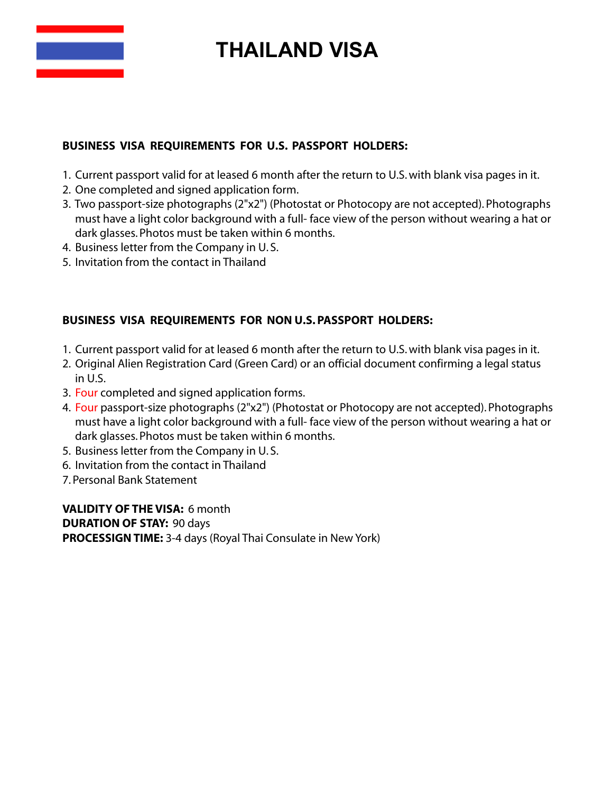

## **THAILAND VISA**

## **BUSINESS VISA REQUIREMENTS FOR U.S. PASSPORT HOLDERS:**

- 1. Current passport valid for at leased 6 month after the return to U.S.with blank visa pages in it.
- 2. One completed and signed application form.
- 3. Two passport-size photographs (2"x2") (Photostat or Photocopy are not accepted). Photographs must have a light color background with a full- face view of the person without wearing a hat or dark glasses. Photos must be taken within 6 months.
- 4. Business letter from the Company in U. S.
- 5. Invitation from the contact in Thailand

## **BUSINESS VISA REQUIREMENTS FOR NON U.S.PASSPORT HOLDERS:**

- 1. Current passport valid for at leased 6 month after the return to U.S.with blank visa pages in it.
- 2. Original Alien Registration Card (Green Card) or an official document confirming a legal status in U.S.
- 3. Four completed and signed application forms.
- 4. Four passport-size photographs (2"x2") (Photostat or Photocopy are not accepted). Photographs must have a light color background with a full- face view of the person without wearing a hat or dark glasses. Photos must be taken within 6 months.
- 5. Business letter from the Company in U. S.
- 6. Invitation from the contact in Thailand
- 7. Personal Bank Statement

**VALIDITY OF THE VISA:** 6 month **DURATION OF STAY:** 90 days **PROCESSIGNTIME:** 3-4 days (Royal Thai Consulate in New York)